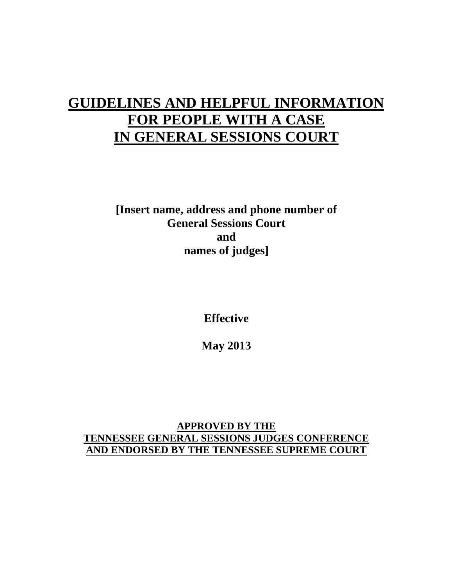# **GUIDELINES AND HELPFUL INFORMATION FOR PEOPLE WITH A CASE IN GENERAL SESSIONS COURT**

**[Insert name, address and phone number of General Sessions Court and names of judges]**

**Effective**

**May 2013**

**APPROVED BY THE TENNESSEE GENERAL SESSIONS JUDGES CONFERENCE AND ENDORSED BY THE TENNESSEE SUPREME COURT**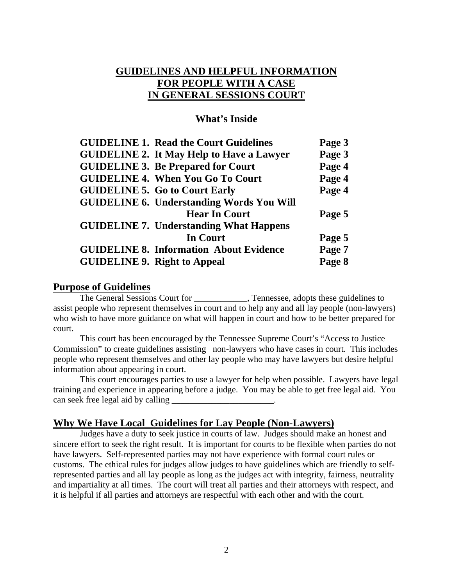# **GUIDELINES AND HELPFUL INFORMATION FOR PEOPLE WITH A CASE IN GENERAL SESSIONS COURT**

#### **What's Inside**

| <b>GUIDELINE 1. Read the Court Guidelines</b>    | Page 3 |
|--------------------------------------------------|--------|
| <b>GUIDELINE 2. It May Help to Have a Lawyer</b> | Page 3 |
| <b>GUIDELINE 3. Be Prepared for Court</b>        | Page 4 |
| <b>GUIDELINE 4. When You Go To Court</b>         | Page 4 |
| <b>GUIDELINE 5. Go to Court Early</b>            | Page 4 |
| <b>GUIDELINE 6. Understanding Words You Will</b> |        |
| <b>Hear In Court</b>                             | Page 5 |
| <b>GUIDELINE 7. Understanding What Happens</b>   |        |
| In Court                                         | Page 5 |
| <b>GUIDELINE 8. Information About Evidence</b>   | Page 7 |
| <b>GUIDELINE 9. Right to Appeal</b>              | Page 8 |

#### **Purpose of Guidelines**

The General Sessions Court for \_\_\_\_\_\_\_\_\_\_\_\_, Tennessee, adopts these guidelines to assist people who represent themselves in court and to help any and all lay people (non-lawyers) who wish to have more guidance on what will happen in court and how to be better prepared for court.

This court has been encouraged by the Tennessee Supreme Court's "Access to Justice Commission" to create guidelines assisting non-lawyers who have cases in court. This includes people who represent themselves and other lay people who may have lawyers but desire helpful information about appearing in court.

This court encourages parties to use a lawyer for help when possible. Lawyers have legal training and experience in appearing before a judge. You may be able to get free legal aid. You can seek free legal aid by calling  $\blacksquare$ 

#### **Why We Have Local Guidelines for Lay People (Non-Lawyers)**

Judges have a duty to seek justice in courts of law. Judges should make an honest and sincere effort to seek the right result. It is important for courts to be flexible when parties do not have lawyers. Self-represented parties may not have experience with formal court rules or customs. The ethical rules for judges allow judges to have guidelines which are friendly to selfrepresented parties and all lay people as long as the judges act with integrity, fairness, neutrality and impartiality at all times. The court will treat all parties and their attorneys with respect, and it is helpful if all parties and attorneys are respectful with each other and with the court.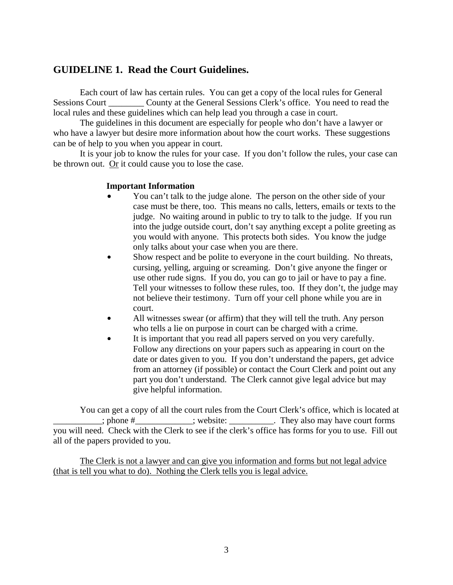### **GUIDELINE 1. Read the Court Guidelines.**

Each court of law has certain rules. You can get a copy of the local rules for General Sessions Court County at the General Sessions Clerk's office. You need to read the local rules and these guidelines which can help lead you through a case in court.

The guidelines in this document are especially for people who don't have a lawyer or who have a lawyer but desire more information about how the court works. These suggestions can be of help to you when you appear in court.

It is your job to know the rules for your case. If you don't follow the rules, your case can be thrown out.  $Qr$  it could cause you to lose the case.

#### **Important Information**

- You can't talk to the judge alone. The person on the other side of your case must be there, too. This means no calls, letters, emails or texts to the judge. No waiting around in public to try to talk to the judge. If you run into the judge outside court, don't say anything except a polite greeting as you would with anyone. This protects both sides. You know the judge only talks about your case when you are there.
- Show respect and be polite to everyone in the court building. No threats, cursing, yelling, arguing or screaming. Don't give anyone the finger or use other rude signs. If you do, you can go to jail or have to pay a fine. Tell your witnesses to follow these rules, too. If they don't, the judge may not believe their testimony. Turn off your cell phone while you are in court.
- All witnesses swear (or affirm) that they will tell the truth. Any person who tells a lie on purpose in court can be charged with a crime.
- It is important that you read all papers served on you very carefully. Follow any directions on your papers such as appearing in court on the date or dates given to you. If you don't understand the papers, get advice from an attorney (if possible) or contact the Court Clerk and point out any part you don't understand. The Clerk cannot give legal advice but may give helpful information.

You can get a copy of all the court rules from the Court Clerk's office, which is located at \_\_\_\_\_\_\_\_\_\_\_; phone #\_\_\_\_\_\_\_\_\_\_\_\_\_; website: \_\_\_\_\_\_\_\_\_\_. They also may have court forms you will need. Check with the Clerk to see if the clerk's office has forms for you to use. Fill out all of the papers provided to you.

The Clerk is not a lawyer and can give you information and forms but not legal advice (that is tell you what to do). Nothing the Clerk tells you is legal advice.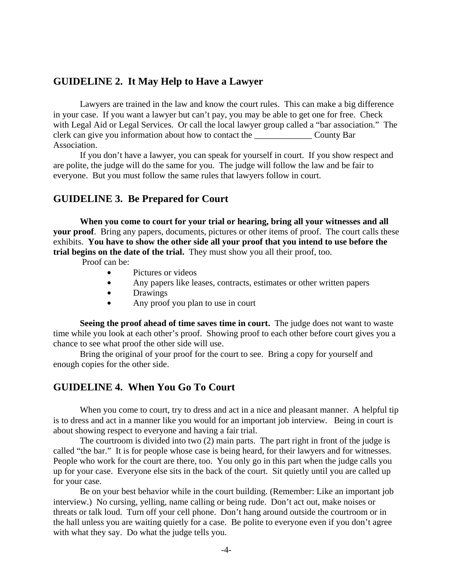#### **GUIDELINE 2. It May Help to Have a Lawyer**

Lawyers are trained in the law and know the court rules. This can make a big difference in your case. If you want a lawyer but can't pay, you may be able to get one for free. Check with Legal Aid or Legal Services. Or call the local lawyer group called a "bar association." The clerk can give you information about how to contact the \_\_\_\_\_\_\_\_\_\_\_\_\_ County Bar Association.

If you don't have a lawyer, you can speak for yourself in court. If you show respect and are polite, the judge will do the same for you. The judge will follow the law and be fair to everyone. But you must follow the same rules that lawyers follow in court.

#### **GUIDELINE 3. Be Prepared for Court**

**When you come to court for your trial or hearing, bring all your witnesses and all your proof**. Bring any papers, documents, pictures or other items of proof. The court calls these exhibits. **You have to show the other side all your proof that you intend to use before the trial begins on the date of the trial.** They must show you all their proof, too.

Proof can be:

- Pictures or videos
- Any papers like leases, contracts, estimates or other written papers
- Drawings
- Any proof you plan to use in court

**Seeing the proof ahead of time saves time in court.** The judge does not want to waste time while you look at each other's proof. Showing proof to each other before court gives you a chance to see what proof the other side will use.

Bring the original of your proof for the court to see. Bring a copy for yourself and enough copies for the other side.

# **GUIDELINE 4. When You Go To Court**

When you come to court, try to dress and act in a nice and pleasant manner. A helpful tip is to dress and act in a manner like you would for an important job interview. Being in court is about showing respect to everyone and having a fair trial.

The courtroom is divided into two (2) main parts. The part right in front of the judge is called "the bar." It is for people whose case is being heard, for their lawyers and for witnesses. People who work for the court are there, too. You only go in this part when the judge calls you up for your case. Everyone else sits in the back of the court. Sit quietly until you are called up for your case.

Be on your best behavior while in the court building. (Remember: Like an important job interview.) No cursing, yelling, name calling or being rude. Don't act out, make noises or threats or talk loud. Turn off your cell phone. Don't hang around outside the courtroom or in the hall unless you are waiting quietly for a case. Be polite to everyone even if you don't agree with what they say. Do what the judge tells you.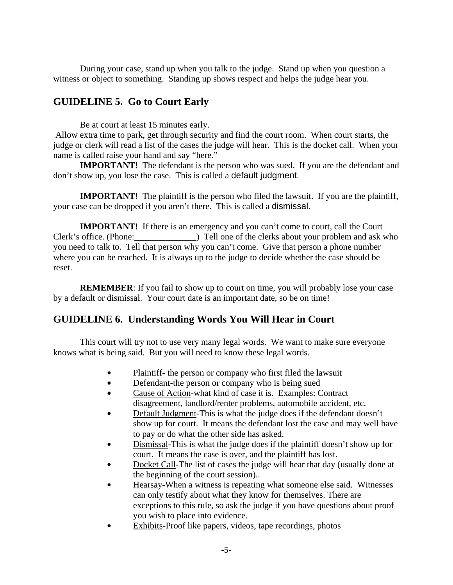During your case, stand up when you talk to the judge. Stand up when you question a witness or object to something. Standing up shows respect and helps the judge hear you.

# **GUIDELINE 5. Go to Court Early**

Be at court at least 15 minutes early.

Allow extra time to park, get through security and find the court room. When court starts, the judge or clerk will read a list of the cases the judge will hear. This is the docket call. When your name is called raise your hand and say "here."

**IMPORTANT!** The defendant is the person who was sued. If you are the defendant and don't show up, you lose the case. This is called a default judgment.

**IMPORTANT!** The plaintiff is the person who filed the lawsuit. If you are the plaintiff, your case can be dropped if you aren't there. This is called a dismissal.

**IMPORTANT!** If there is an emergency and you can't come to court, call the Court Clerk's office. (Phone:  $\Box$ ) Tell one of the clerks about your problem and ask who you need to talk to. Tell that person why you can't come. Give that person a phone number where you can be reached. It is always up to the judge to decide whether the case should be reset.

**REMEMBER**: If you fail to show up to court on time, you will probably lose your case by a default or dismissal. Your court date is an important date, so be on time!

# **GUIDELINE 6. Understanding Words You Will Hear in Court**

This court will try not to use very many legal words. We want to make sure everyone knows what is being said. But you will need to know these legal words.

- Plaintiff- the person or company who first filed the lawsuit
- $\bullet$ Defendant-the person or company who is being sued
- $\bullet$ Cause of Action -what kind of case it is. Examples: Contract disagreement, landlord/renter problems, automobile accident, etc.
- $\bullet$ Default Judgment-This is what the judge does if the defendant doesn't show up for court. It means the defendant lost the case and may well have to pay or do what the other side has asked.
- $\bullet$ Dismissal-This is what the judge does if the plaintiff doesn't show up for court. It means the case is over, and the plaintiff has lost.
- $\bullet$ Docket Call-The list of cases the judge will hear that day (usually done at the beginning of the court session)..
- $\bullet$ Hearsay-When a witness is repeating what someone else said. Witnesses can only testify about what they know for themselves. There are exceptions to this rule, so ask the judge if you have questions about proof you wish to place into evidence.
- $\bullet$ Exhibits-Proof like papers, videos, tape recordings, photos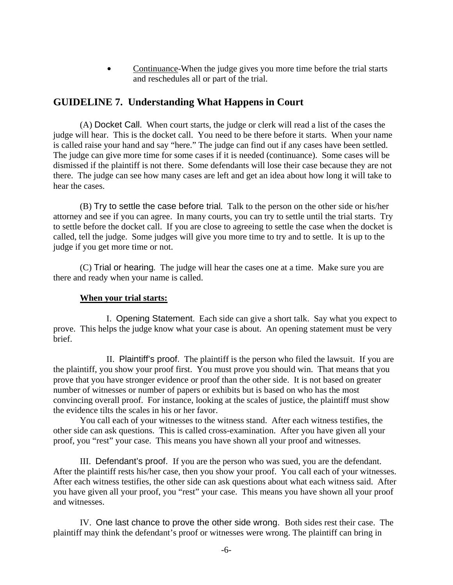Continuance-When the judge gives you more time before the trial starts and reschedules all or part of the trial.

# **GUIDELINE 7. Understanding What Happens in Court**

(A) Docket Call. When court starts, the judge or clerk will read a list of the cases the judge will hear. This is the docket call. You need to be there before it starts. When your name is called raise your hand and say "here." The judge can find out if any cases have been settled. The judge can give more time for some cases if it is needed (continuance). Some cases will be dismissed if the plaintiff is not there. Some defendants will lose their case because they are not there. The judge can see how many cases are left and get an idea about how long it will take to hear the cases.

(B) Try to settle the case before trial*.* Talk to the person on the other side or his/her attorney and see if you can agree. In many courts, you can try to settle until the trial starts. Try to settle before the docket call. If you are close to agreeing to settle the case when the docket is called, tell the judge. Some judges will give you more time to try and to settle. It is up to the judge if you get more time or not.

(C) Trial or hearing*.* The judge will hear the cases one at a time. Make sure you are there and ready when your name is called.

#### **When your trial starts:**

I. Opening Statement. Each side can give a short talk. Say what you expect to prove. This helps the judge know what your case is about. An opening statement must be very brief.

II. Plaintiff's proof. The plaintiff is the person who filed the lawsuit. If you are the plaintiff, you show your proof first. You must prove you should win. That means that you prove that you have stronger evidence or proof than the other side. It is not based on greater number of witnesses or number of papers or exhibits but is based on who has the most convincing overall proof. For instance, looking at the scales of justice, the plaintiff must show the evidence tilts the scales in his or her favor.

You call each of your witnesses to the witness stand. After each witness testifies, the other side can ask questions. This is called cross-examination. After you have given all your proof, you "rest" your case. This means you have shown all your proof and witnesses.

III. Defendant's proof. If you are the person who was sued, you are the defendant. After the plaintiff rests his/her case, then you show your proof. You call each of your witnesses. After each witness testifies, the other side can ask questions about what each witness said. After you have given all your proof, you "rest" your case. This means you have shown all your proof and witnesses.

IV. One last chance to prove the other side wrong. Both sides rest their case. The plaintiff may think the defendant's proof or witnesses were wrong. The plaintiff can bring in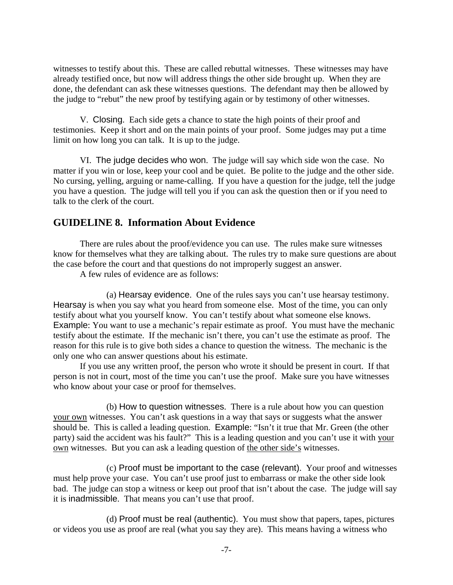witnesses to testify about this. These are called rebuttal witnesses. These witnesses may have already testified once, but now will address things the other side brought up. When they are done, the defendant can ask these witnesses questions. The defendant may then be allowed by the judge to "rebut" the new proof by testifying again or by testimony of other witnesses.

V. Closing. Each side gets a chance to state the high points of their proof and testimonies. Keep it short and on the main points of your proof. Some judges may put a time limit on how long you can talk. It is up to the judge.

VI. The judge decides who won. The judge will say which side won the case. No matter if you win or lose, keep your cool and be quiet. Be polite to the judge and the other side. No cursing, yelling, arguing or name-calling. If you have a question for the judge, tell the judge you have a question. The judge will tell you if you can ask the question then or if you need to talk to the clerk of the court.

# **GUIDELINE 8. Information About Evidence**

There are rules about the proof/evidence you can use. The rules make sure witnesses know for themselves what they are talking about. The rules try to make sure questions are about the case before the court and that questions do not improperly suggest an answer.

A few rules of evidence are as follows:

(a) Hearsay evidence. One of the rules says you can't use hearsay testimony. Hearsay is when you say what you heard from someone else. Most of the time, you can only testify about what you yourself know. You can't testify about what someone else knows. Example: You want to use a mechanic's repair estimate as proof. You must have the mechanic testify about the estimate. If the mechanic isn't there, you can't use the estimate as proof. The reason for this rule is to give both sides a chance to question the witness. The mechanic is the only one who can answer questions about his estimate.

If you use any written proof, the person who wrote it should be present in court. If that person is not in court, most of the time you can't use the proof. Make sure you have witnesses who know about your case or proof for themselves.

(b) How to question witnesses. There is a rule about how you can question your own witnesses. You can't ask questions in a way that says or suggests what the answer should be. This is called a leading question. Example: "Isn't it true that Mr. Green (the other party) said the accident was his fault?" This is a leading question and you can't use it with your own witnesses. But you can ask a leading question of the other side's witnesses.

(c) Proof must be important to the case (relevant). Your proof and witnesses must help prove your case. You can't use proof just to embarrass or make the other side look bad. The judge can stop a witness or keep out proof that isn't about the case. The judge will say it is inadmissible. That means you can't use that proof.

(d) Proof must be real (authentic). You must show that papers, tapes, pictures or videos you use as proof are real (what you say they are). This means having a witness who